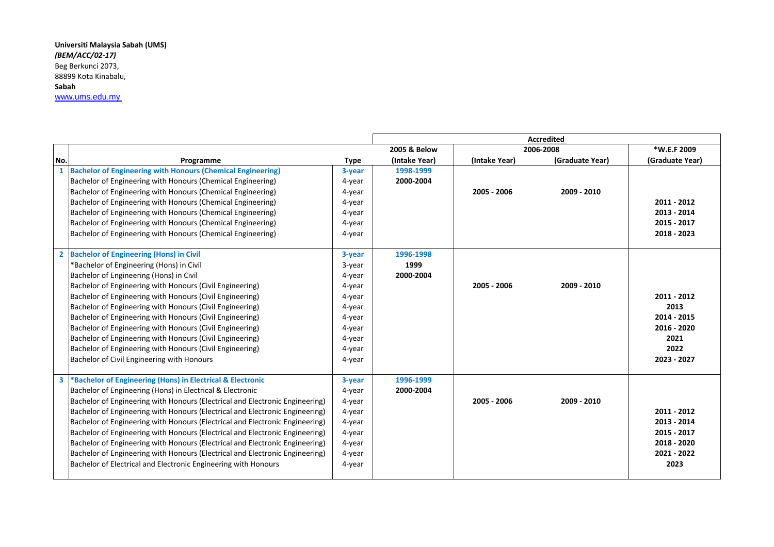## **Universiti Malaysia Sabah (UMS)** *(BEM/ACC/02-17)*  Beg Berkunci 2073, 88899 Kota Kinabalu, **Sabah** [www.ums.edu.my](http://www.ums.edu.my/)

|              |                                                                              |             | <b>Accredited</b> |               |                 |                 |
|--------------|------------------------------------------------------------------------------|-------------|-------------------|---------------|-----------------|-----------------|
|              |                                                                              |             | 2005 & Below      | 2006-2008     |                 | *W.E.F 2009     |
| No.          | Programme                                                                    | <b>Type</b> | (Intake Year)     | (Intake Year) | (Graduate Year) | (Graduate Year) |
|              | <b>Bachelor of Engineering with Honours (Chemical Engineering)</b>           | 3-year      | 1998-1999         |               |                 |                 |
|              | Bachelor of Engineering with Honours (Chemical Engineering)                  | 4-year      | 2000-2004         |               |                 |                 |
|              | Bachelor of Engineering with Honours (Chemical Engineering)                  | 4-year      |                   | 2005 - 2006   | 2009 - 2010     |                 |
|              | Bachelor of Engineering with Honours (Chemical Engineering)                  | 4-year      |                   |               |                 | 2011 - 2012     |
|              | Bachelor of Engineering with Honours (Chemical Engineering)                  | 4-year      |                   |               |                 | 2013 - 2014     |
|              | Bachelor of Engineering with Honours (Chemical Engineering)                  | 4-year      |                   |               |                 | 2015 - 2017     |
|              | Bachelor of Engineering with Honours (Chemical Engineering)                  | 4-year      |                   |               |                 | 2018 - 2023     |
| $\mathbf{2}$ | <b>Bachelor of Engineering (Hons) in Civil</b>                               | 3-year      | 1996-1998         |               |                 |                 |
|              | *Bachelor of Engineering (Hons) in Civil                                     | 3-year      | 1999              |               |                 |                 |
|              | Bachelor of Engineering (Hons) in Civil                                      | 4-year      | 2000-2004         |               |                 |                 |
|              | Bachelor of Engineering with Honours (Civil Engineering)                     | 4-year      |                   | 2005 - 2006   | 2009 - 2010     |                 |
|              | Bachelor of Engineering with Honours (Civil Engineering)                     | 4-year      |                   |               |                 | 2011 - 2012     |
|              | Bachelor of Engineering with Honours (Civil Engineering)                     | 4-year      |                   |               |                 | 2013            |
|              | Bachelor of Engineering with Honours (Civil Engineering)                     | 4-year      |                   |               |                 | 2014 - 2015     |
|              | Bachelor of Engineering with Honours (Civil Engineering)                     | 4-year      |                   |               |                 | 2016 - 2020     |
|              | Bachelor of Engineering with Honours (Civil Engineering)                     | 4-year      |                   |               |                 | 2021            |
|              | Bachelor of Engineering with Honours (Civil Engineering)                     | 4-year      |                   |               |                 | 2022            |
|              | Bachelor of Civil Engineering with Honours                                   | 4-year      |                   |               |                 | 2023 - 2027     |
| 3            | *Bachelor of Engineering (Hons) in Electrical & Electronic                   | 3-year      | 1996-1999         |               |                 |                 |
|              | Bachelor of Engineering (Hons) in Electrical & Electronic                    | 4-year      | 2000-2004         |               |                 |                 |
|              | Bachelor of Engineering with Honours (Electrical and Electronic Engineering) | 4-year      |                   | 2005 - 2006   | 2009 - 2010     |                 |
|              | Bachelor of Engineering with Honours (Electrical and Electronic Engineering) | 4-year      |                   |               |                 | 2011 - 2012     |
|              | Bachelor of Engineering with Honours (Electrical and Electronic Engineering) | 4-year      |                   |               |                 | 2013 - 2014     |
|              | Bachelor of Engineering with Honours (Electrical and Electronic Engineering) | 4-year      |                   |               |                 | 2015 - 2017     |
|              | Bachelor of Engineering with Honours (Electrical and Electronic Engineering) | 4-year      |                   |               |                 | 2018 - 2020     |
|              | Bachelor of Engineering with Honours (Electrical and Electronic Engineering) | 4-year      |                   |               |                 | 2021 - 2022     |
|              | Bachelor of Electrical and Electronic Engineering with Honours               | 4-year      |                   |               |                 | 2023            |